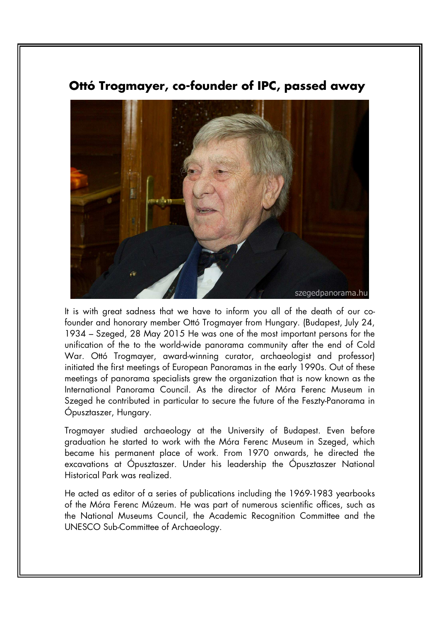

## **Ottó Trogmayer, co-founder of IPC, passed away**

It is with great sadness that we have to inform you all of the death of our cofounder and honorary member Ottó Trogmayer from Hungary. (Budapest, July 24, 1934 – Szeged, 28 May 2015 He was one of the most important persons for the unification of the to the world-wide panorama community after the end of Cold War. Ottó Trogmayer, award-winning curator, archaeologist and professor) initiated the first meetings of European Panoramas in the early 1990s. Out of these meetings of panorama specialists grew the organization that is now known as the International Panorama Council. As the director of Móra Ferenc Museum in Szeged he contributed in particular to secure the future of the Feszty-Panorama in Ópusztaszer, Hungary.

Trogmayer studied archaeology at the University of Budapest. Even before graduation he started to work with the Móra Ferenc Museum in Szeged, which became his permanent place of work. From 1970 onwards, he directed the excavations at Ópusztaszer. Under his leadership the Ópusztaszer National Historical Park was realized.

He acted as editor of a series of publications including the 1969-1983 yearbooks of the Móra Ferenc Múzeum. He was part of numerous scientific offices, such as the National Museums Council, the Academic Recognition Committee and the UNESCO Sub-Committee of Archaeology.